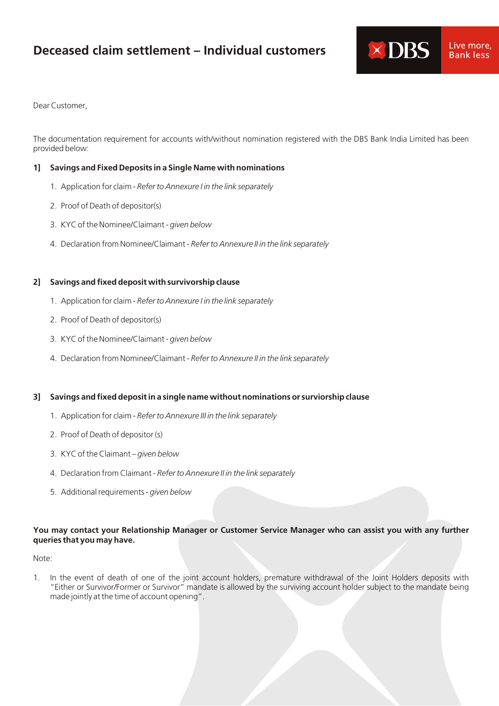# **Deceased claim settlement – Individual customers**



Dear Customer,

The documentation requirement for accounts with/without nomination registered with the DBS Bank India Limited has been provided below:

## **1] Savings and Fixed Deposits in a Single Name with nominations**

- 1. Application for claim *Refer to Annexure I in the link separately*
- 2. Proof of Death of depositor(s)
- 3. KYC of the Nominee/Claimant *given below*
- 4. Declaration from Nominee/Claimant *Refer to Annexure II in the link separately*

### **2] Savings and fixed deposit with survivorship clause**

- 1. Application for claim *Refer to Annexure I in the link separately*
- 2. Proof of Death of depositor(s)
- 3. KYC of the Nominee/Claimant *given below*
- 4. Declaration from Nominee/Claimant *Refer to Annexure II in the link separately*

# **3] Savings and fixed deposit in a single name without nominations or surviorship clause**

- 1. Application for claim *Refer to Annexure III in the link separately*
- 2. Proof of Death of depositor (s)
- 3. KYC of the Claimant *given below*
- 4. Declaration from Claimant *Refer to Annexure II in the link separately*
- 5. Additional requirements *given below*

#### **You may contact your Relationship Manager or Customer Service Manager who can assist you with any further queries that you may have.**

#### Note:

1. In the event of death of one of the joint account holders, premature withdrawal of the Joint Holders deposits with "Either or Survivor/Former or Survivor" mandate is allowed by the surviving account holder subject to the mandate being made jointly at the time of account opening".